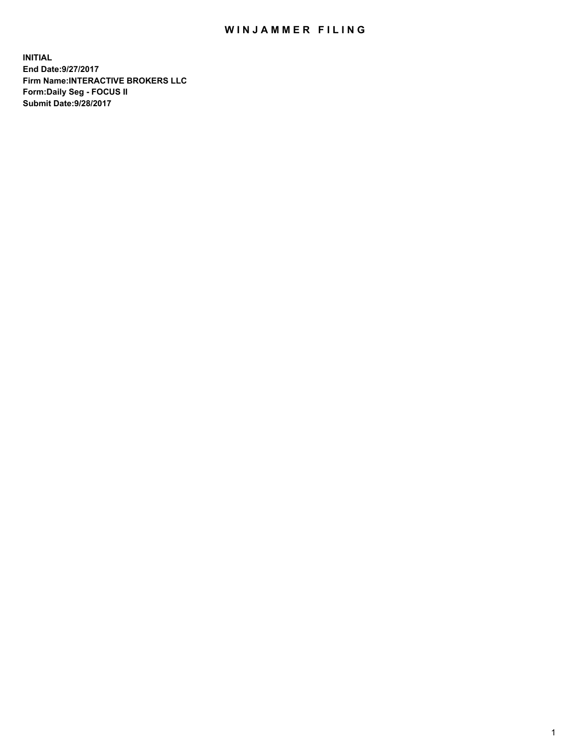## WIN JAMMER FILING

**INITIAL End Date:9/27/2017 Firm Name:INTERACTIVE BROKERS LLC Form:Daily Seg - FOCUS II Submit Date:9/28/2017**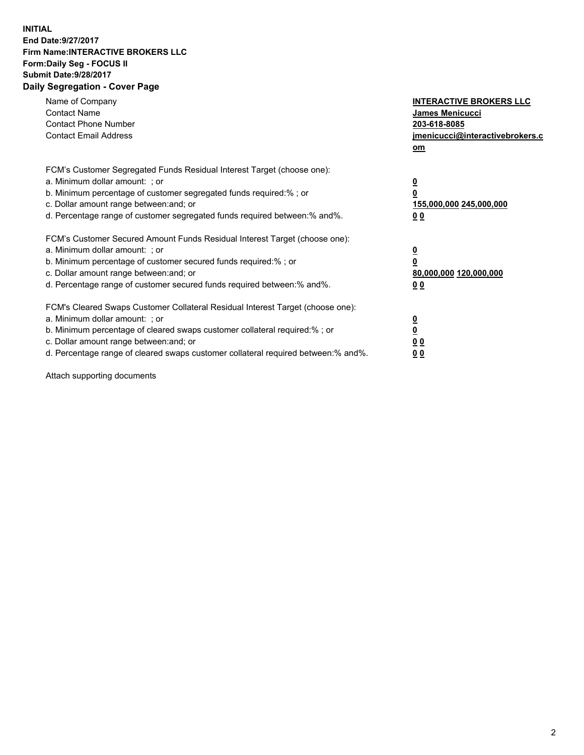## **INITIAL End Date:9/27/2017 Firm Name:INTERACTIVE BROKERS LLC Form:Daily Seg - FOCUS II Submit Date:9/28/2017 Daily Segregation - Cover Page**

| Name of Company<br><b>Contact Name</b><br><b>Contact Phone Number</b><br><b>Contact Email Address</b>                                                                                                                                                                                                                          | <b>INTERACTIVE BROKERS LLC</b><br>James Menicucci<br>203-618-8085<br>jmenicucci@interactivebrokers.c<br>om |
|--------------------------------------------------------------------------------------------------------------------------------------------------------------------------------------------------------------------------------------------------------------------------------------------------------------------------------|------------------------------------------------------------------------------------------------------------|
| FCM's Customer Segregated Funds Residual Interest Target (choose one):<br>a. Minimum dollar amount: ; or<br>b. Minimum percentage of customer segregated funds required:%; or<br>c. Dollar amount range between: and; or<br>d. Percentage range of customer segregated funds required between:% and%.                          | $\overline{\mathbf{0}}$<br>0<br>155,000,000 245,000,000<br>0 <sub>0</sub>                                  |
| FCM's Customer Secured Amount Funds Residual Interest Target (choose one):<br>a. Minimum dollar amount: ; or<br>b. Minimum percentage of customer secured funds required:%; or<br>c. Dollar amount range between: and; or<br>d. Percentage range of customer secured funds required between:% and%.                            | $\overline{\mathbf{0}}$<br>$\overline{\mathbf{0}}$<br>80,000,000 120,000,000<br>00                         |
| FCM's Cleared Swaps Customer Collateral Residual Interest Target (choose one):<br>a. Minimum dollar amount: ; or<br>b. Minimum percentage of cleared swaps customer collateral required:% ; or<br>c. Dollar amount range between: and; or<br>d. Percentage range of cleared swaps customer collateral required between:% and%. | $\overline{\mathbf{0}}$<br>$\overline{\mathbf{0}}$<br>0 <sub>0</sub><br><u>00</u>                          |

Attach supporting documents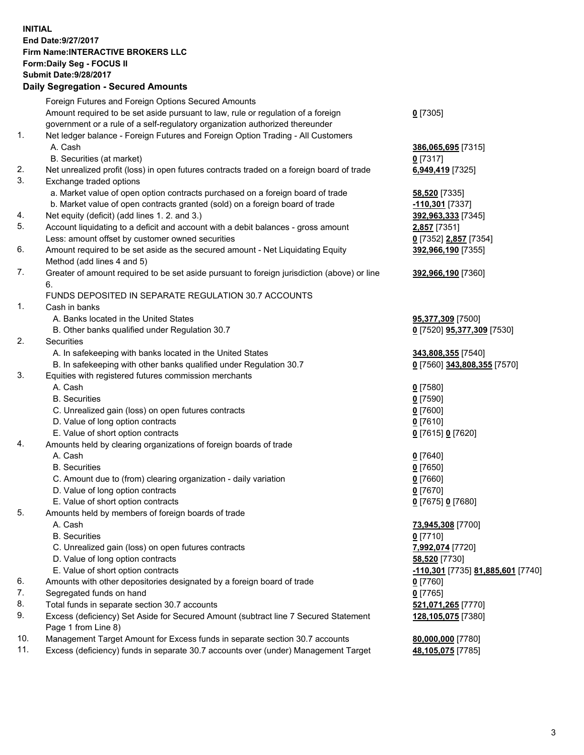## **INITIAL End Date:9/27/2017 Firm Name:INTERACTIVE BROKERS LLC Form:Daily Seg - FOCUS II Submit Date:9/28/2017 Daily Segregation - Secured Amounts**

|                | Daily Ocglegation - Occarea Anioants                                                                       |                                   |
|----------------|------------------------------------------------------------------------------------------------------------|-----------------------------------|
|                | Foreign Futures and Foreign Options Secured Amounts                                                        |                                   |
|                | Amount required to be set aside pursuant to law, rule or regulation of a foreign                           | $0$ [7305]                        |
|                | government or a rule of a self-regulatory organization authorized thereunder                               |                                   |
| 1.             | Net ledger balance - Foreign Futures and Foreign Option Trading - All Customers                            |                                   |
|                | A. Cash                                                                                                    | 386,065,695 [7315]                |
|                | B. Securities (at market)                                                                                  | $0$ [7317]                        |
| 2.             | Net unrealized profit (loss) in open futures contracts traded on a foreign board of trade                  | 6,949,419 [7325]                  |
| 3.             | Exchange traded options                                                                                    |                                   |
|                | a. Market value of open option contracts purchased on a foreign board of trade                             | <b>58,520</b> [7335]              |
|                | b. Market value of open contracts granted (sold) on a foreign board of trade                               | -110,301 [7337]                   |
| 4.             | Net equity (deficit) (add lines 1.2. and 3.)                                                               | 392,963,333 [7345]                |
| 5.             | Account liquidating to a deficit and account with a debit balances - gross amount                          | 2,857 [7351]                      |
|                | Less: amount offset by customer owned securities                                                           | 0 [7352] 2,857 [7354]             |
| 6.             | Amount required to be set aside as the secured amount - Net Liquidating Equity                             | 392,966,190 [7355]                |
|                | Method (add lines 4 and 5)                                                                                 |                                   |
| 7.             | Greater of amount required to be set aside pursuant to foreign jurisdiction (above) or line                | 392,966,190 [7360]                |
|                | 6.                                                                                                         |                                   |
|                | FUNDS DEPOSITED IN SEPARATE REGULATION 30.7 ACCOUNTS                                                       |                                   |
| $\mathbf{1}$ . | Cash in banks                                                                                              |                                   |
|                | A. Banks located in the United States                                                                      | 95,377,309 [7500]                 |
|                | B. Other banks qualified under Regulation 30.7                                                             | 0 [7520] 95,377,309 [7530]        |
| 2.             | Securities                                                                                                 |                                   |
|                | A. In safekeeping with banks located in the United States                                                  | 343,808,355 [7540]                |
|                | B. In safekeeping with other banks qualified under Regulation 30.7                                         | 0 [7560] 343,808,355 [7570]       |
| 3.             | Equities with registered futures commission merchants                                                      |                                   |
|                | A. Cash                                                                                                    | $0$ [7580]                        |
|                | <b>B.</b> Securities                                                                                       | $0$ [7590]                        |
|                | C. Unrealized gain (loss) on open futures contracts                                                        | $0$ [7600]                        |
|                | D. Value of long option contracts                                                                          | $0$ [7610]                        |
|                | E. Value of short option contracts                                                                         | 0 [7615] 0 [7620]                 |
| 4.             | Amounts held by clearing organizations of foreign boards of trade                                          |                                   |
|                | A. Cash                                                                                                    | $0$ [7640]                        |
|                | <b>B.</b> Securities                                                                                       | $0$ [7650]                        |
|                | C. Amount due to (from) clearing organization - daily variation                                            | $0$ [7660]                        |
|                | D. Value of long option contracts                                                                          | $0$ [7670]                        |
| 5.             | E. Value of short option contracts                                                                         | 0 [7675] 0 [7680]                 |
|                | Amounts held by members of foreign boards of trade<br>A. Cash                                              |                                   |
|                | <b>B.</b> Securities                                                                                       | 73,945,308 [7700]<br>$0$ [7710]   |
|                | C. Unrealized gain (loss) on open futures contracts                                                        | 7,992,074 [7720]                  |
|                | D. Value of long option contracts                                                                          | 58,520 [7730]                     |
|                | E. Value of short option contracts                                                                         | -110,301 [7735] 81,885,601 [7740] |
| 6.             | Amounts with other depositories designated by a foreign board of trade                                     |                                   |
| 7.             | Segregated funds on hand                                                                                   | 0 [7760]<br>$0$ [7765]            |
| 8.             | Total funds in separate section 30.7 accounts                                                              |                                   |
| 9.             |                                                                                                            | 521,071,265 [7770]                |
|                | Excess (deficiency) Set Aside for Secured Amount (subtract line 7 Secured Statement<br>Page 1 from Line 8) | 128,105,075 [7380]                |
| 10.            | Management Target Amount for Excess funds in separate section 30.7 accounts                                | 80,000,000 [7780]                 |
| 11.            | Excess (deficiency) funds in separate 30.7 accounts over (under) Management Target                         | 48,105,075 [7785]                 |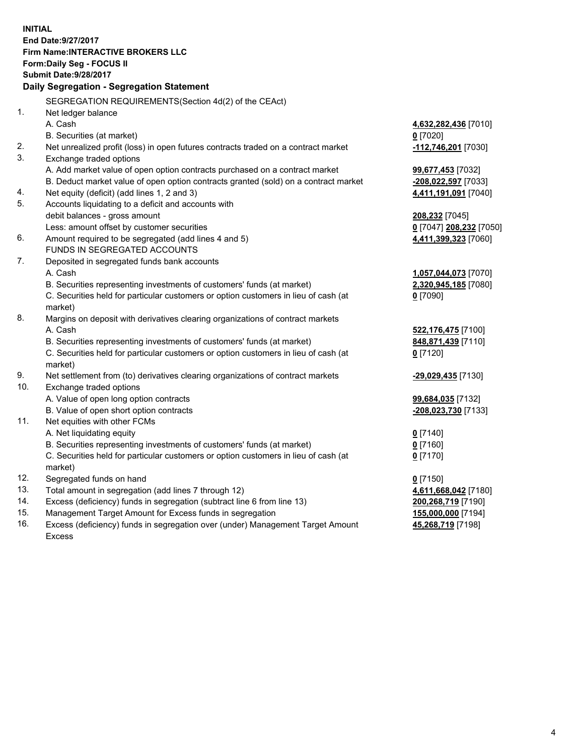**INITIAL End Date:9/27/2017 Firm Name:INTERACTIVE BROKERS LLC Form:Daily Seg - FOCUS II Submit Date:9/28/2017 Daily Segregation - Segregation Statement** SEGREGATION REQUIREMENTS(Section 4d(2) of the CEAct) 1. Net ledger balance A. Cash **4,632,282,436** [7010] B. Securities (at market) **0** [7020] 2. Net unrealized profit (loss) in open futures contracts traded on a contract market **-112,746,201** [7030] 3. Exchange traded options A. Add market value of open option contracts purchased on a contract market **99,677,453** [7032] B. Deduct market value of open option contracts granted (sold) on a contract market **-208,022,597** [7033] 4. Net equity (deficit) (add lines 1, 2 and 3) **4,411,191,091** [7040] 5. Accounts liquidating to a deficit and accounts with debit balances - gross amount **208,232** [7045] Less: amount offset by customer securities **0** [7047] **208,232** [7050] 6. Amount required to be segregated (add lines 4 and 5) **4,411,399,323** [7060] FUNDS IN SEGREGATED ACCOUNTS 7. Deposited in segregated funds bank accounts A. Cash **1,057,044,073** [7070] B. Securities representing investments of customers' funds (at market) **2,320,945,185** [7080] C. Securities held for particular customers or option customers in lieu of cash (at market) **0** [7090] 8. Margins on deposit with derivatives clearing organizations of contract markets A. Cash **522,176,475** [7100] B. Securities representing investments of customers' funds (at market) **848,871,439** [7110] C. Securities held for particular customers or option customers in lieu of cash (at market) **0** [7120] 9. Net settlement from (to) derivatives clearing organizations of contract markets **-29,029,435** [7130] 10. Exchange traded options A. Value of open long option contracts **99,684,035** [7132] B. Value of open short option contracts **-208,023,730** [7133] 11. Net equities with other FCMs A. Net liquidating equity **0** [7140] B. Securities representing investments of customers' funds (at market) **0** [7160] C. Securities held for particular customers or option customers in lieu of cash (at market) **0** [7170] 12. Segregated funds on hand **0** [7150] 13. Total amount in segregation (add lines 7 through 12) **4,611,668,042** [7180] 14. Excess (deficiency) funds in segregation (subtract line 6 from line 13) **200,268,719** [7190] 15. Management Target Amount for Excess funds in segregation **155,000,000** [7194] 16. Excess (deficiency) funds in segregation over (under) Management Target Amount **45,268,719** [7198]

Excess